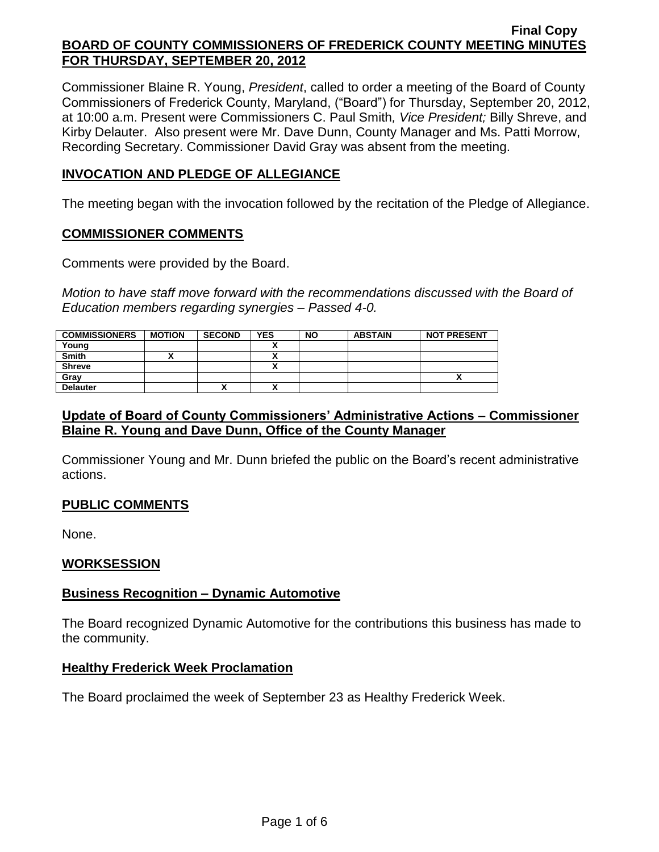Commissioner Blaine R. Young, *President*, called to order a meeting of the Board of County Commissioners of Frederick County, Maryland, ("Board") for Thursday, September 20, 2012, at 10:00 a.m. Present were Commissioners C. Paul Smith*, Vice President;* Billy Shreve, and Kirby Delauter. Also present were Mr. Dave Dunn, County Manager and Ms. Patti Morrow, Recording Secretary. Commissioner David Gray was absent from the meeting.

## **INVOCATION AND PLEDGE OF ALLEGIANCE**

The meeting began with the invocation followed by the recitation of the Pledge of Allegiance.

## **COMMISSIONER COMMENTS**

Comments were provided by the Board.

*Motion to have staff move forward with the recommendations discussed with the Board of Education members regarding synergies – Passed 4-0.*

| <b>COMMISSIONERS</b> | <b>MOTION</b> | <b>SECOND</b> | <b>YES</b> | <b>NO</b> | <b>ABSTAIN</b> | <b>NOT PRESENT</b> |
|----------------------|---------------|---------------|------------|-----------|----------------|--------------------|
| Young                |               |               | $\cdot$    |           |                |                    |
| <b>Smith</b>         |               |               |            |           |                |                    |
| <b>Shreve</b>        |               |               |            |           |                |                    |
| Grav                 |               |               |            |           |                | ,,                 |
| <b>Delauter</b>      |               | <br>Λ         |            |           |                |                    |

## **Update of Board of County Commissioners' Administrative Actions – Commissioner Blaine R. Young and Dave Dunn, Office of the County Manager**

Commissioner Young and Mr. Dunn briefed the public on the Board's recent administrative actions.

# **PUBLIC COMMENTS**

None.

# **WORKSESSION**

## **Business Recognition – Dynamic Automotive**

The Board recognized Dynamic Automotive for the contributions this business has made to the community.

## **Healthy Frederick Week Proclamation**

The Board proclaimed the week of September 23 as Healthy Frederick Week.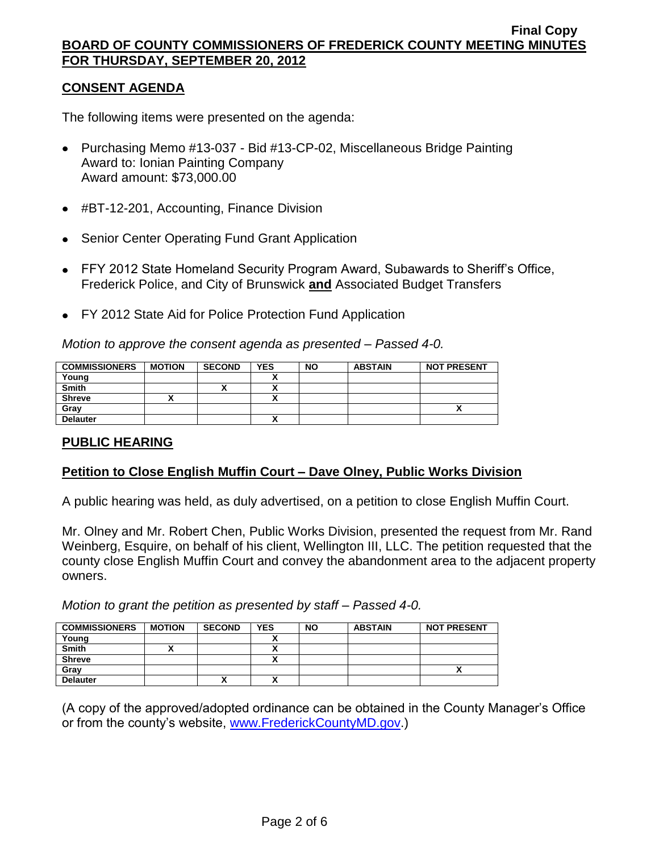## **CONSENT AGENDA**

The following items were presented on the agenda:

- Purchasing Memo #13-037 Bid #13-CP-02, Miscellaneous Bridge Painting Award to: Ionian Painting Company Award amount: \$73,000.00
- #BT-12-201, Accounting, Finance Division
- Senior Center Operating Fund Grant Application
- FFY 2012 State Homeland Security Program Award, Subawards to Sheriff's Office, Frederick Police, and City of Brunswick **and** Associated Budget Transfers
- FY 2012 State Aid for Police Protection Fund Application

*Motion to approve the consent agenda as presented – Passed 4-0.*

| <b>COMMISSIONERS</b> | <b>MOTION</b> | <b>SECOND</b> | <b>YES</b>   | <b>NO</b> | <b>ABSTAIN</b> | <b>NOT PRESENT</b> |
|----------------------|---------------|---------------|--------------|-----------|----------------|--------------------|
| Young                |               |               |              |           |                |                    |
| <b>Smith</b>         |               | "             |              |           |                |                    |
| <b>Shreve</b>        |               |               | $\mathbf{v}$ |           |                |                    |
| Grav                 |               |               |              |           |                |                    |
| <b>Delauter</b>      |               |               |              |           |                |                    |

# **PUBLIC HEARING**

## **Petition to Close English Muffin Court – Dave Olney, Public Works Division**

A public hearing was held, as duly advertised, on a petition to close English Muffin Court.

Mr. Olney and Mr. Robert Chen, Public Works Division, presented the request from Mr. Rand Weinberg, Esquire, on behalf of his client, Wellington III, LLC. The petition requested that the county close English Muffin Court and convey the abandonment area to the adjacent property owners.

*Motion to grant the petition as presented by staff – Passed 4-0.*

| <b>COMMISSIONERS</b> | <b>MOTION</b> | <b>SECOND</b> | <b>YES</b> | <b>NO</b> | <b>ABSTAIN</b> | <b>NOT PRESENT</b> |
|----------------------|---------------|---------------|------------|-----------|----------------|--------------------|
| Young                |               |               |            |           |                |                    |
| <b>Smith</b>         |               |               |            |           |                |                    |
| <b>Shreve</b>        |               |               |            |           |                |                    |
| Gray                 |               |               |            |           |                |                    |
| <b>Delauter</b>      |               | ,,            |            |           |                |                    |

(A copy of the approved/adopted ordinance can be obtained in the County Manager's Office or from the county's website, [www.FrederickCountyMD.gov.](http://www.frederickcountymd.gov/))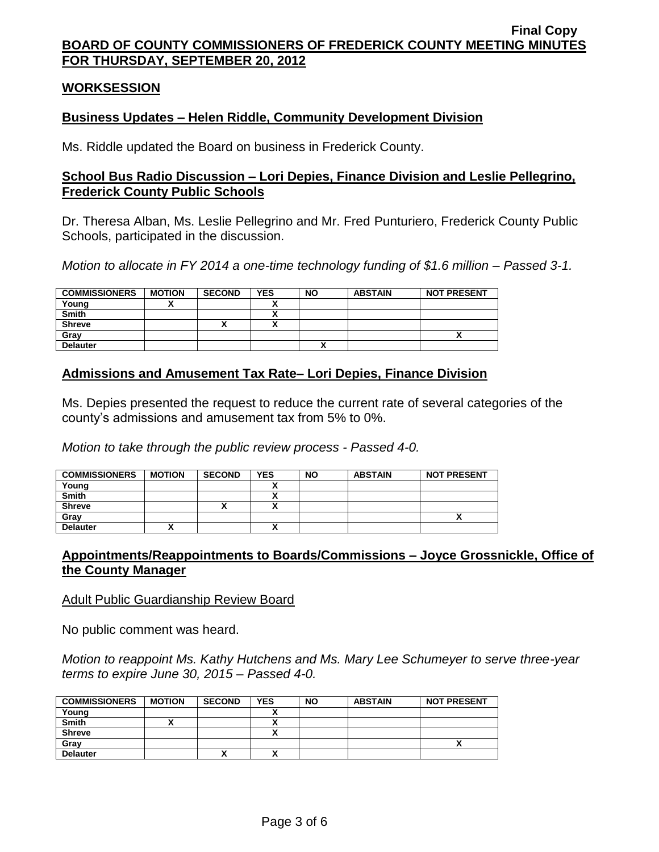### **WORKSESSION**

### **Business Updates – Helen Riddle, Community Development Division**

Ms. Riddle updated the Board on business in Frederick County.

### **School Bus Radio Discussion – Lori Depies, Finance Division and Leslie Pellegrino, Frederick County Public Schools**

Dr. Theresa Alban, Ms. Leslie Pellegrino and Mr. Fred Punturiero, Frederick County Public Schools, participated in the discussion.

*Motion to allocate in FY 2014 a one-time technology funding of \$1.6 million – Passed 3-1.*

| <b>COMMISSIONERS</b> | <b>MOTION</b> | <b>SECOND</b> | <b>YES</b> | <b>NO</b> | <b>ABSTAIN</b> | <b>NOT PRESENT</b> |
|----------------------|---------------|---------------|------------|-----------|----------------|--------------------|
| Young                |               |               |            |           |                |                    |
| <b>Smith</b>         |               |               |            |           |                |                    |
| <b>Shreve</b>        |               | ,,            |            |           |                |                    |
| Grav                 |               |               |            |           |                |                    |
| <b>Delauter</b>      |               |               |            |           |                |                    |

## **Admissions and Amusement Tax Rate– Lori Depies, Finance Division**

Ms. Depies presented the request to reduce the current rate of several categories of the county's admissions and amusement tax from 5% to 0%.

*Motion to take through the public review process - Passed 4-0.*

| <b>COMMISSIONERS</b> | <b>MOTION</b> | <b>SECOND</b> | <b>YES</b> | <b>NO</b> | <b>ABSTAIN</b> | <b>NOT PRESENT</b> |
|----------------------|---------------|---------------|------------|-----------|----------------|--------------------|
| Young                |               |               |            |           |                |                    |
| <b>Smith</b>         |               |               |            |           |                |                    |
| <b>Shreve</b>        |               |               | v          |           |                |                    |
| Gray                 |               |               |            |           |                | Δ                  |
| <b>Delauter</b>      |               |               |            |           |                |                    |

## **Appointments/Reappointments to Boards/Commissions – Joyce Grossnickle, Office of the County Manager**

#### Adult Public Guardianship Review Board

No public comment was heard.

*Motion to reappoint Ms. Kathy Hutchens and Ms. Mary Lee Schumeyer to serve three-year terms to expire June 30, 2015 – Passed 4-0.*

| <b>COMMISSIONERS</b> | <b>MOTION</b> | <b>SECOND</b> | <b>YES</b> | <b>NO</b> | <b>ABSTAIN</b> | <b>NOT PRESENT</b> |
|----------------------|---------------|---------------|------------|-----------|----------------|--------------------|
| Young                |               |               |            |           |                |                    |
| <b>Smith</b>         |               |               | ,,         |           |                |                    |
| <b>Shreve</b>        |               |               | n          |           |                |                    |
| Grav                 |               |               |            |           |                | ,,                 |
| <b>Delauter</b>      |               | '             |            |           |                |                    |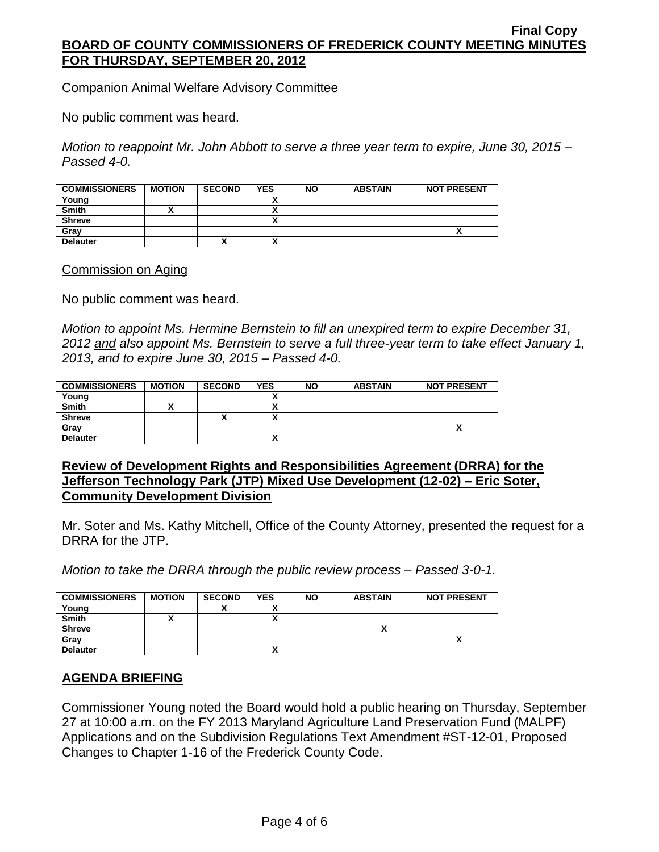Companion Animal Welfare Advisory Committee

No public comment was heard.

*Motion to reappoint Mr. John Abbott to serve a three year term to expire, June 30, 2015 – Passed 4-0.*

| <b>COMMISSIONERS</b> | <b>MOTION</b> | <b>SECOND</b> | <b>YES</b> | <b>NO</b> | <b>ABSTAIN</b> | <b>NOT PRESENT</b> |
|----------------------|---------------|---------------|------------|-----------|----------------|--------------------|
| Young                |               |               |            |           |                |                    |
| <b>Smith</b>         |               |               |            |           |                |                    |
| <b>Shreve</b>        |               |               |            |           |                |                    |
| Grav                 |               |               |            |           |                |                    |
| <b>Delauter</b>      |               | ↗             |            |           |                |                    |

Commission on Aging

No public comment was heard.

*Motion to appoint Ms. Hermine Bernstein to fill an unexpired term to expire December 31, 2012 and also appoint Ms. Bernstein to serve a full three-year term to take effect January 1, 2013, and to expire June 30, 2015 – Passed 4-0.*

| <b>COMMISSIONERS</b> | <b>MOTION</b> | <b>SECOND</b> | <b>YES</b>           | <b>NO</b> | <b>ABSTAIN</b> | <b>NOT PRESENT</b> |
|----------------------|---------------|---------------|----------------------|-----------|----------------|--------------------|
| Young                |               |               |                      |           |                |                    |
| <b>Smith</b>         |               |               |                      |           |                |                    |
| <b>Shreve</b>        |               |               | $\ddot{\phantom{0}}$ |           |                |                    |
| Grav                 |               |               |                      |           |                |                    |
| <b>Delauter</b>      |               |               | Δ                    |           |                |                    |

### **Review of Development Rights and Responsibilities Agreement (DRRA) for the Jefferson Technology Park (JTP) Mixed Use Development (12-02) – Eric Soter, Community Development Division**

Mr. Soter and Ms. Kathy Mitchell, Office of the County Attorney, presented the request for a DRRA for the JTP.

*Motion to take the DRRA through the public review process – Passed 3-0-1.*

| <b>COMMISSIONERS</b> | <b>MOTION</b> | <b>SECOND</b> | <b>YES</b> | <b>NO</b> | <b>ABSTAIN</b> | <b>NOT PRESENT</b> |
|----------------------|---------------|---------------|------------|-----------|----------------|--------------------|
| Young                |               |               |            |           |                |                    |
| <b>Smith</b>         |               |               |            |           |                |                    |
| <b>Shreve</b>        |               |               |            |           |                |                    |
| Grav                 |               |               |            |           |                |                    |
| <b>Delauter</b>      |               |               | ~          |           |                |                    |

## **AGENDA BRIEFING**

Commissioner Young noted the Board would hold a public hearing on Thursday, September 27 at 10:00 a.m. on the FY 2013 Maryland Agriculture Land Preservation Fund (MALPF) Applications and on the Subdivision Regulations Text Amendment #ST-12-01, Proposed Changes to Chapter 1-16 of the Frederick County Code.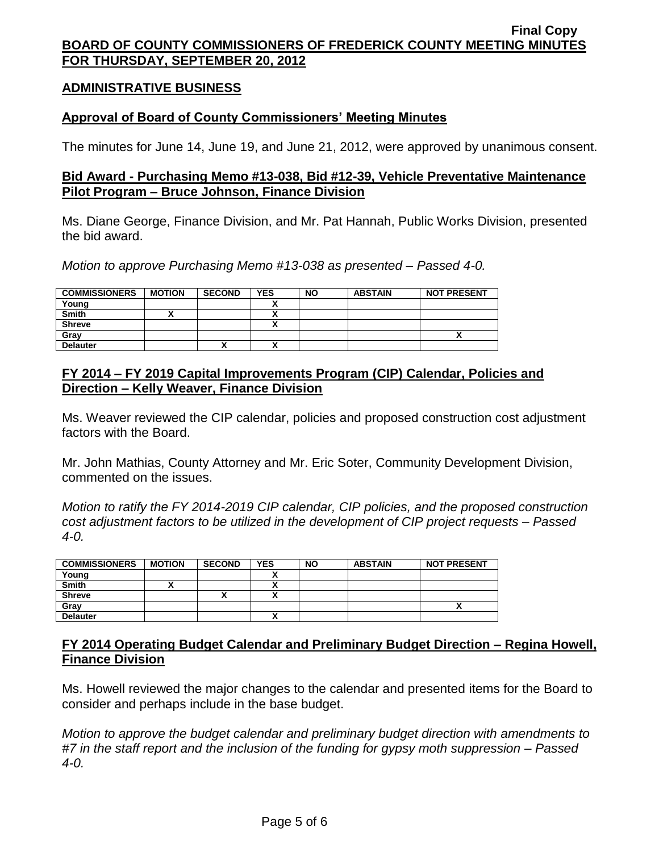### **ADMINISTRATIVE BUSINESS**

### **Approval of Board of County Commissioners' Meeting Minutes**

The minutes for June 14, June 19, and June 21, 2012, were approved by unanimous consent.

### **Bid Award - Purchasing Memo #13-038, Bid #12-39, Vehicle Preventative Maintenance Pilot Program – Bruce Johnson, Finance Division**

Ms. Diane George, Finance Division, and Mr. Pat Hannah, Public Works Division, presented the bid award.

*Motion to approve Purchasing Memo #13-038 as presented – Passed 4-0.*

| <b>COMMISSIONERS</b> | <b>MOTION</b> | <b>SECOND</b> | <b>YES</b> | <b>NO</b> | <b>ABSTAIN</b> | <b>NOT PRESENT</b> |
|----------------------|---------------|---------------|------------|-----------|----------------|--------------------|
| Young                |               |               |            |           |                |                    |
| <b>Smith</b>         |               |               | ,,         |           |                |                    |
| <b>Shreve</b>        |               |               | ,,         |           |                |                    |
| Grav                 |               |               |            |           |                |                    |
| <b>Delauter</b>      |               |               | 灬          |           |                |                    |

## **FY 2014 – FY 2019 Capital Improvements Program (CIP) Calendar, Policies and Direction – Kelly Weaver, Finance Division**

Ms. Weaver reviewed the CIP calendar, policies and proposed construction cost adjustment factors with the Board.

Mr. John Mathias, County Attorney and Mr. Eric Soter, Community Development Division, commented on the issues.

*Motion to ratify the FY 2014-2019 CIP calendar, CIP policies, and the proposed construction cost adjustment factors to be utilized in the development of CIP project requests – Passed 4-0.*

| <b>COMMISSIONERS</b> | <b>MOTION</b> | <b>SECOND</b> | <b>YES</b> | <b>NO</b> | <b>ABSTAIN</b> | <b>NOT PRESENT</b> |
|----------------------|---------------|---------------|------------|-----------|----------------|--------------------|
| Young                |               |               |            |           |                |                    |
| Smith                |               |               |            |           |                |                    |
| <b>Shreve</b>        |               |               |            |           |                |                    |
| Gray                 |               |               |            |           |                |                    |
| <b>Delauter</b>      |               |               | ^          |           |                |                    |

## **FY 2014 Operating Budget Calendar and Preliminary Budget Direction – Regina Howell, Finance Division**

Ms. Howell reviewed the major changes to the calendar and presented items for the Board to consider and perhaps include in the base budget.

*Motion to approve the budget calendar and preliminary budget direction with amendments to #7 in the staff report and the inclusion of the funding for gypsy moth suppression – Passed 4-0.*